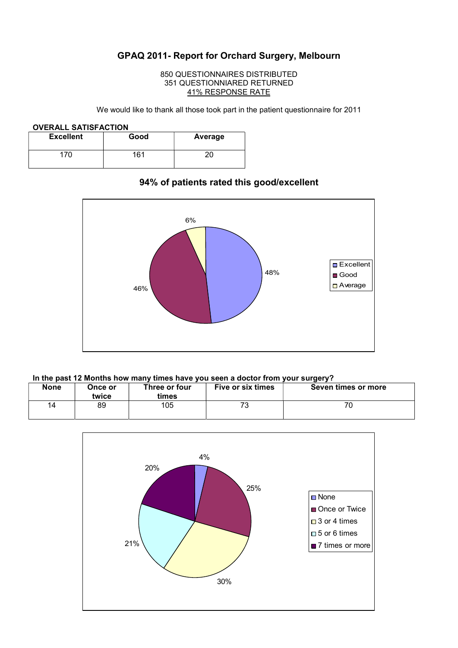# GPAQ 2011- Report for Orchard Surgery, Melbourn

#### 850 QUESTIONNAIRES DISTRIBUTED 351 QUESTIONNIARED RETURNED 41% RESPONSE RATE

We would like to thank all those took part in the patient questionnaire for 2011

#### OVERALL SATISFACTION

| <b>Excellent</b> | Good | Average |
|------------------|------|---------|
| 70               | 161  |         |

# $48\%$   $\qquad \qquad$   $\qquad \qquad$   $\qquad \qquad$  $46\%$  $6\%$ **□** Excellent ■ Good □ Average

## 94% of patients rated this good/excellent

#### In the past 12 Months how many times have you seen a doctor from your surgery?

| <b>None</b> | Once or<br>twice | Three or four<br>times | <b>Five or six times</b> | Seven times or more |
|-------------|------------------|------------------------|--------------------------|---------------------|
| 14          | 89               | 105                    | 70<br>ن '                |                     |

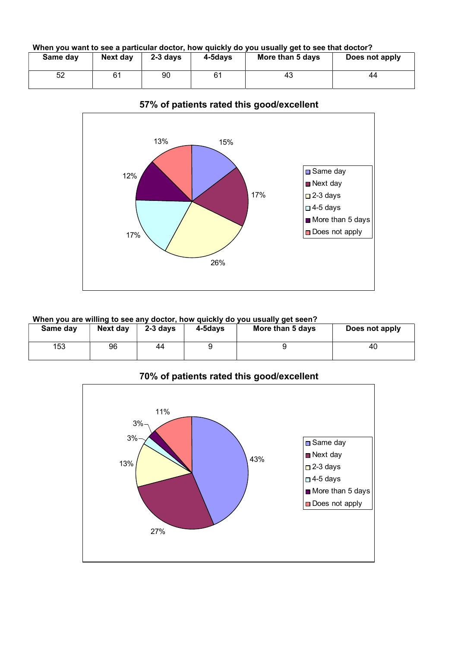When you want to see a particular doctor, how quickly do you usually get to see that doctor?

| Same day | Next day | $2-3$ davs | 4-5davs | More than 5 days | Does not apply |
|----------|----------|------------|---------|------------------|----------------|
| 52       |          | 90         | 61      | 43               | 44             |



## 57% of patients rated this good/excellent

## When you are willing to see any doctor, how quickly do you usually get seen?

| Same day | Next day | $2-3$ days | 4-5days | More than 5 days | Does not apply |
|----------|----------|------------|---------|------------------|----------------|
| 153      | 96       | 44         |         |                  | 40             |

70% of patients rated this good/excellent

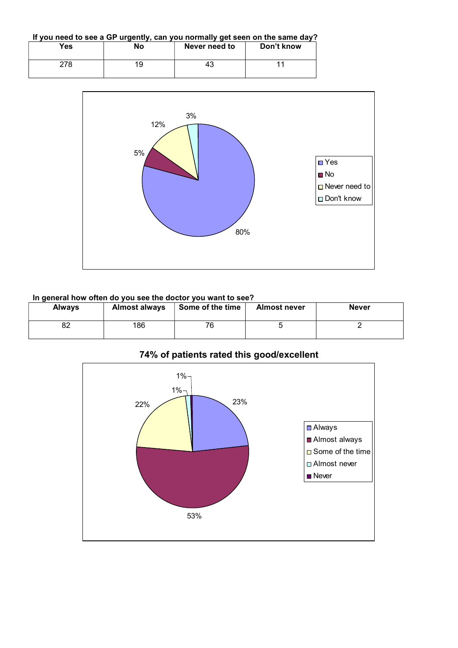If you need to see a GP urgently, can you normally get seen on the same day?

| Yes | <b>No</b> | Never need to | Don't know |
|-----|-----------|---------------|------------|
| 278 | 19        | 43            |            |



#### In general how often do you see the doctor you want to see?

| <b>Always</b> | <b>Almost always</b> | Some of the time | <b>Almost never</b> | <b>Never</b> |
|---------------|----------------------|------------------|---------------------|--------------|
| o٠<br>٥z      | 186                  | 76               |                     |              |



# 74% of patients rated this good/excellent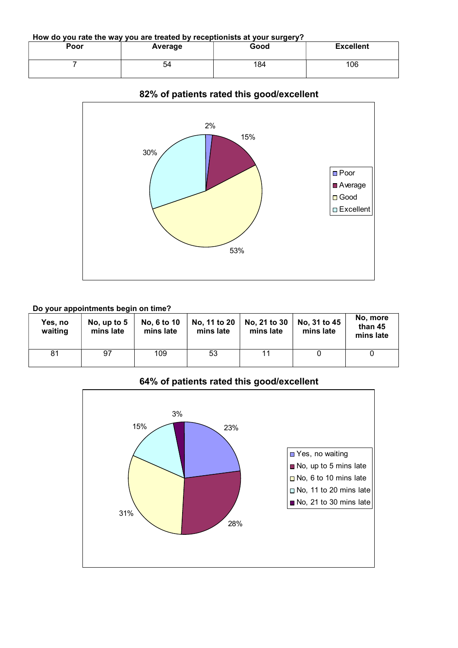How do you rate the way you are treated by receptionists at your surgery?

| Poor | Average | Good | <b>Excellent</b> |
|------|---------|------|------------------|
|      | 54      | 184  | 106              |



## 82% of patients rated this good/excellent

## Do your appointments begin on time?

| Yes, no<br>waiting | No, up to $5$<br>mins late | No, 6 to 10<br>mins late | No, 11 to 20<br>mins late | No, 21 to 30<br>mins late | No, 31 to 45<br>mins late | No, more<br>than 45<br>mins late |
|--------------------|----------------------------|--------------------------|---------------------------|---------------------------|---------------------------|----------------------------------|
| 81                 | 97                         | 109                      | 53                        | 11                        |                           |                                  |

## 64% of patients rated this good/excellent

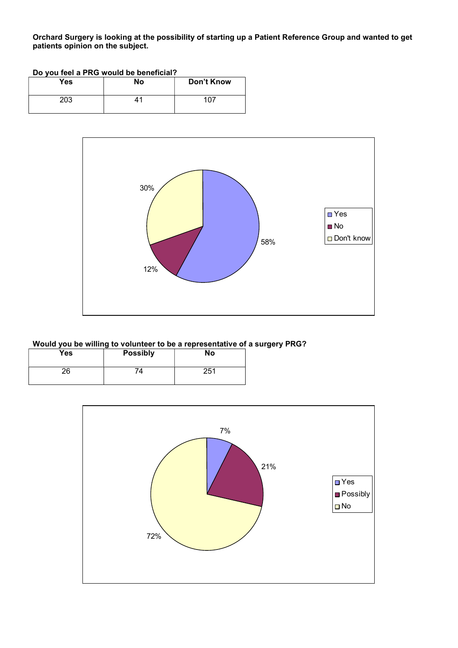Orchard Surgery is looking at the possibility of starting up a Patient Reference Group and wanted to get patients opinion on the subject.

| Do you feel a PRG would be beneficial? |    |            |  |
|----------------------------------------|----|------------|--|
| Yes                                    | Nο | Don't Know |  |
| 203                                    | 41 | 107        |  |



#### Would you be willing to volunteer to be a representative of a surgery PRG?

| <b>Yes</b> | <b>Possibly</b> | <b>No</b> |
|------------|-----------------|-----------|
| 26         | 74              | 251       |

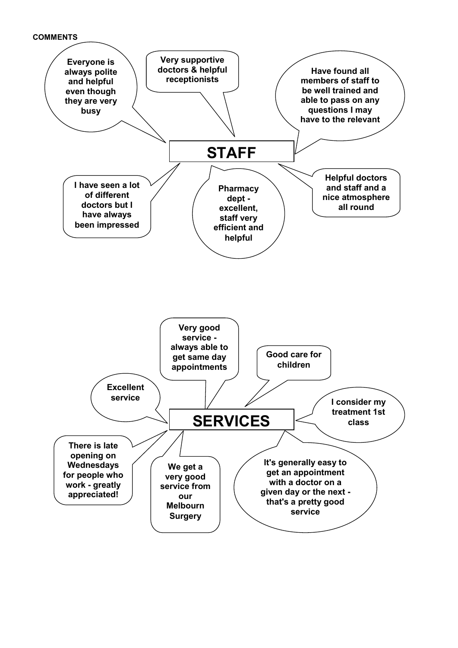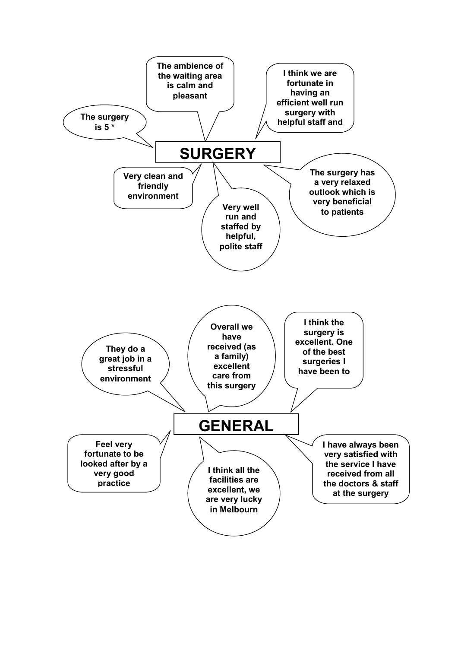